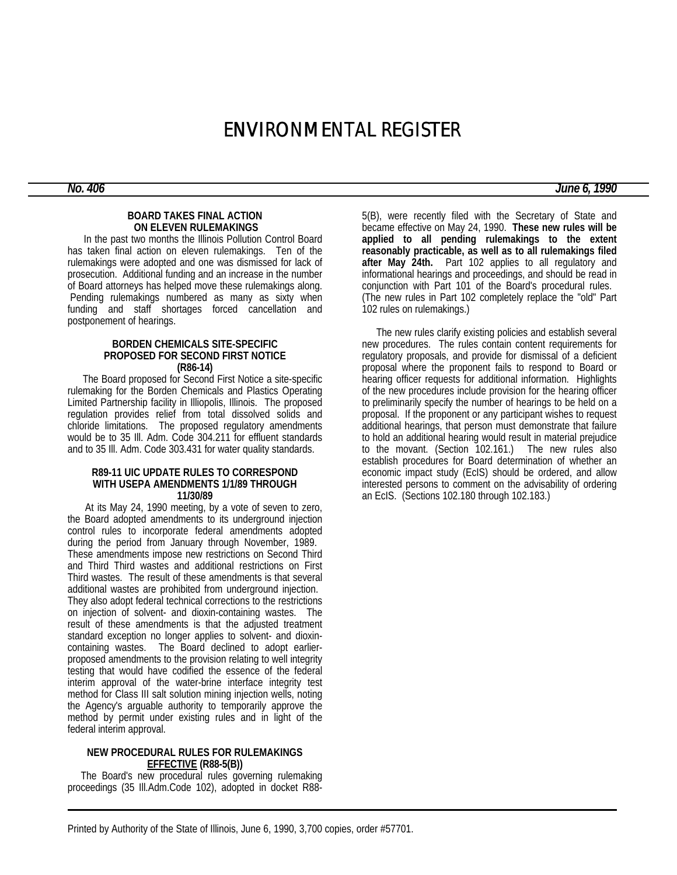# ENVIRONMENTAL REGISTER

#### **BOARD TAKES FINAL ACTION ON ELEVEN RULEMAKINGS**

 In the past two months the Illinois Pollution Control Board has taken final action on eleven rulemakings. Ten of the rulemakings were adopted and one was dismissed for lack of prosecution. Additional funding and an increase in the number of Board attorneys has helped move these rulemakings along. Pending rulemakings numbered as many as sixty when funding and staff shortages forced cancellation and postponement of hearings.

#### **BORDEN CHEMICALS SITE-SPECIFIC PROPOSED FOR SECOND FIRST NOTICE (R86-14)**

 The Board proposed for Second First Notice a site-specific rulemaking for the Borden Chemicals and Plastics Operating Limited Partnership facility in Illiopolis, Illinois. The proposed regulation provides relief from total dissolved solids and chloride limitations. The proposed regulatory amendments would be to 35 Ill. Adm. Code 304.211 for effluent standards and to 35 Ill. Adm. Code 303.431 for water quality standards.

#### **R89-11 UIC UPDATE RULES TO CORRESPOND WITH USEPA AMENDMENTS 1/1/89 THROUGH 11/30/89**

 At its May 24, 1990 meeting, by a vote of seven to zero, the Board adopted amendments to its underground injection control rules to incorporate federal amendments adopted during the period from January through November, 1989. These amendments impose new restrictions on Second Third and Third Third wastes and additional restrictions on First Third wastes. The result of these amendments is that several additional wastes are prohibited from underground injection. They also adopt federal technical corrections to the restrictions on injection of solvent- and dioxin-containing wastes. The result of these amendments is that the adjusted treatment standard exception no longer applies to solvent- and dioxincontaining wastes. The Board declined to adopt earlierproposed amendments to the provision relating to well integrity testing that would have codified the essence of the federal interim approval of the water-brine interface integrity test method for Class III salt solution mining injection wells, noting the Agency's arguable authority to temporarily approve the method by permit under existing rules and in light of the federal interim approval.

#### **NEW PROCEDURAL RULES FOR RULEMAKINGS EFFECTIVE (R88-5(B))**

 The Board's new procedural rules governing rulemaking proceedings (35 Ill.Adm.Code 102), adopted in docket R88-

5(B), were recently filed with the Secretary of State and became effective on May 24, 1990. **These new rules will be applied to all pending rulemakings to the extent reasonably practicable, as well as to all rulemakings filed after May 24th.** Part 102 applies to all regulatory and informational hearings and proceedings, and should be read in conjunction with Part 101 of the Board's procedural rules. (The new rules in Part 102 completely replace the "old" Part 102 rules on rulemakings.)

 The new rules clarify existing policies and establish several new procedures. The rules contain content requirements for regulatory proposals, and provide for dismissal of a deficient proposal where the proponent fails to respond to Board or hearing officer requests for additional information. Highlights of the new procedures include provision for the hearing officer to preliminarily specify the number of hearings to be held on a proposal. If the proponent or any participant wishes to request additional hearings, that person must demonstrate that failure to hold an additional hearing would result in material prejudice to the movant. (Section 102.161.) The new rules also establish procedures for Board determination of whether an economic impact study (EcIS) should be ordered, and allow interested persons to comment on the advisability of ordering an EcIS. (Sections 102.180 through 102.183.)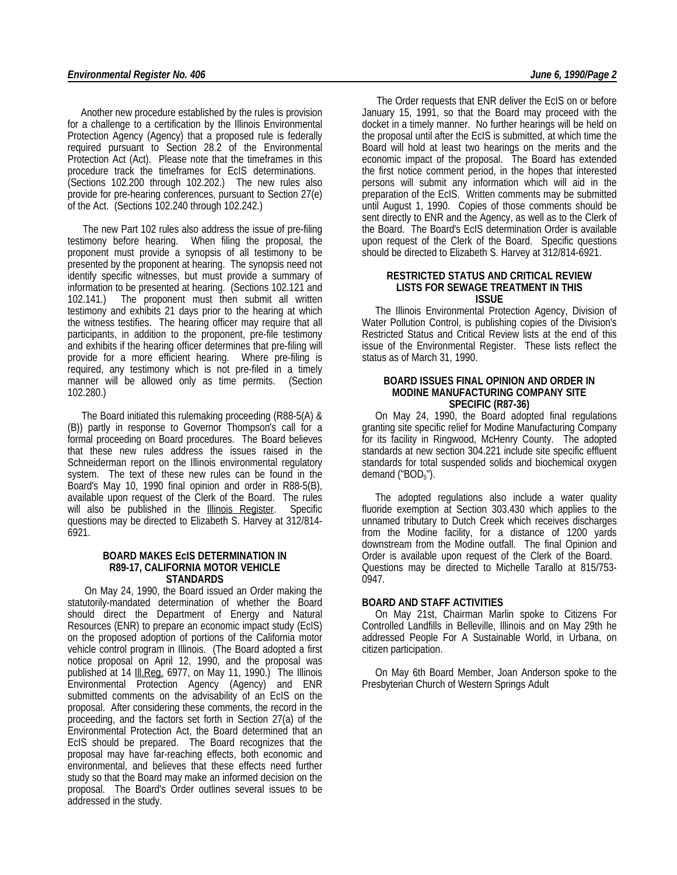Another new procedure established by the rules is provision for a challenge to a certification by the Illinois Environmental Protection Agency (Agency) that a proposed rule is federally required pursuant to Section 28.2 of the Environmental Protection Act (Act). Please note that the timeframes in this procedure track the timeframes for EcIS determinations. (Sections 102.200 through 102.202.) The new rules also provide for pre-hearing conferences, pursuant to Section 27(e) of the Act. (Sections 102.240 through 102.242.)

 The new Part 102 rules also address the issue of pre-filing testimony before hearing. When filing the proposal, the proponent must provide a synopsis of all testimony to be presented by the proponent at hearing. The synopsis need not identify specific witnesses, but must provide a summary of information to be presented at hearing. (Sections 102.121 and 102.141.) The proponent must then submit all written testimony and exhibits 21 days prior to the hearing at which the witness testifies. The hearing officer may require that all participants, in addition to the proponent, pre-file testimony and exhibits if the hearing officer determines that pre-filing will provide for a more efficient hearing. Where pre-filing is required, any testimony which is not pre-filed in a timely manner will be allowed only as time permits. (Section 102.280.)

 The Board initiated this rulemaking proceeding (R88-5(A) & (B)) partly in response to Governor Thompson's call for a formal proceeding on Board procedures. The Board believes that these new rules address the issues raised in the Schneiderman report on the Illinois environmental regulatory system. The text of these new rules can be found in the Board's May 10, 1990 final opinion and order in R88-5(B), available upon request of the Clerk of the Board. The rules will also be published in the **Illinois Register**. Specific questions may be directed to Elizabeth S. Harvey at 312/814- 6921.

#### **BOARD MAKES EcIS DETERMINATION IN R89-17, CALIFORNIA MOTOR VEHICLE STANDARDS**

 On May 24, 1990, the Board issued an Order making the statutorily-mandated determination of whether the Board should direct the Department of Energy and Natural Resources (ENR) to prepare an economic impact study (EcIS) on the proposed adoption of portions of the California motor vehicle control program in Illinois. (The Board adopted a first notice proposal on April 12, 1990, and the proposal was published at 14 Ill. Reg. 6977, on May 11, 1990.) The Illinois Environmental Protection Agency (Agency) and ENR submitted comments on the advisability of an EcIS on the proposal. After considering these comments, the record in the proceeding, and the factors set forth in Section 27(a) of the Environmental Protection Act, the Board determined that an EcIS should be prepared. The Board recognizes that the proposal may have far-reaching effects, both economic and environmental, and believes that these effects need further study so that the Board may make an informed decision on the proposal. The Board's Order outlines several issues to be addressed in the study.

 The Order requests that ENR deliver the EcIS on or before January 15, 1991, so that the Board may proceed with the docket in a timely manner. No further hearings will be held on the proposal until after the EcIS is submitted, at which time the Board will hold at least two hearings on the merits and the economic impact of the proposal. The Board has extended the first notice comment period, in the hopes that interested persons will submit any information which will aid in the preparation of the EcIS. Written comments may be submitted until August 1, 1990. Copies of those comments should be sent directly to ENR and the Agency, as well as to the Clerk of the Board. The Board's EcIS determination Order is available upon request of the Clerk of the Board. Specific questions should be directed to Elizabeth S. Harvey at 312/814-6921.

#### **RESTRICTED STATUS AND CRITICAL REVIEW LISTS FOR SEWAGE TREATMENT IN THIS ISSUE**

 The Illinois Environmental Protection Agency, Division of Water Pollution Control, is publishing copies of the Division's Restricted Status and Critical Review lists at the end of this issue of the Environmental Register. These lists reflect the status as of March 31, 1990.

#### **BOARD ISSUES FINAL OPINION AND ORDER IN MODINE MANUFACTURING COMPANY SITE SPECIFIC (R87-36)**

 On May 24, 1990, the Board adopted final regulations granting site specific relief for Modine Manufacturing Company for its facility in Ringwood, McHenry County. The adopted standards at new section 304.221 include site specific effluent standards for total suspended solids and biochemical oxygen demand ("BOD<sub>5</sub>").

 The adopted regulations also include a water quality fluoride exemption at Section 303.430 which applies to the unnamed tributary to Dutch Creek which receives discharges from the Modine facility, for a distance of 1200 yards downstream from the Modine outfall. The final Opinion and Order is available upon request of the Clerk of the Board. Questions may be directed to Michelle Tarallo at 815/753- 0947.

#### **BOARD AND STAFF ACTIVITIES**

 On May 21st, Chairman Marlin spoke to Citizens For Controlled Landfills in Belleville, Illinois and on May 29th he addressed People For A Sustainable World, in Urbana, on citizen participation.

 On May 6th Board Member, Joan Anderson spoke to the Presbyterian Church of Western Springs Adult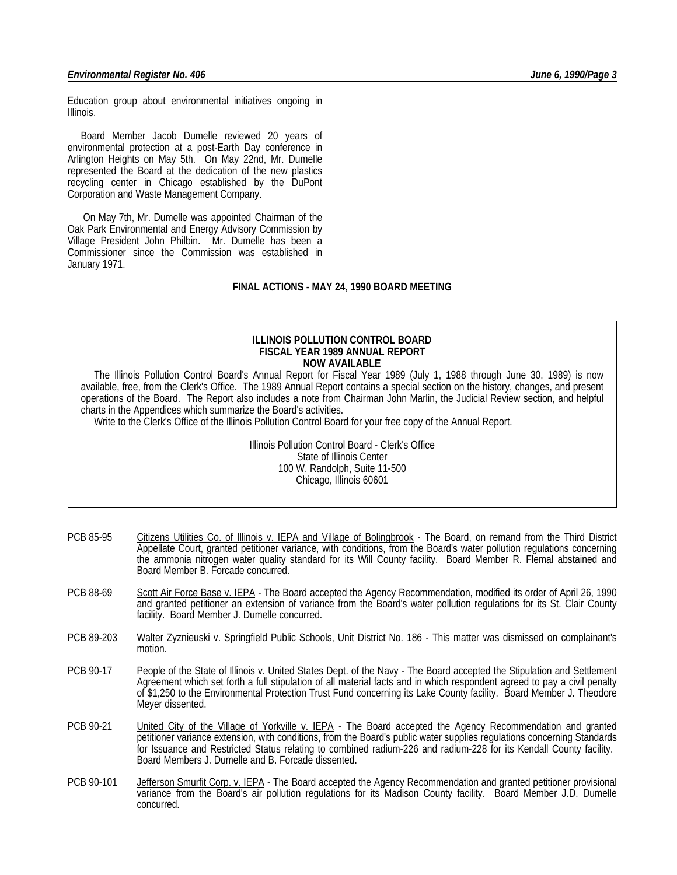Education group about environmental initiatives ongoing in Illinois.

 Board Member Jacob Dumelle reviewed 20 years of environmental protection at a post-Earth Day conference in Arlington Heights on May 5th. On May 22nd, Mr. Dumelle represented the Board at the dedication of the new plastics recycling center in Chicago established by the DuPont Corporation and Waste Management Company.

 On May 7th, Mr. Dumelle was appointed Chairman of the Oak Park Environmental and Energy Advisory Commission by Village President John Philbin. Mr. Dumelle has been a Commissioner since the Commission was established in January 1971.

#### **FINAL ACTIONS - MAY 24, 1990 BOARD MEETING**

#### **ILLINOIS POLLUTION CONTROL BOARD FISCAL YEAR 1989 ANNUAL REPORT NOW AVAILABLE**

 The Illinois Pollution Control Board's Annual Report for Fiscal Year 1989 (July 1, 1988 through June 30, 1989) is now available, free, from the Clerk's Office. The 1989 Annual Report contains a special section on the history, changes, and present operations of the Board. The Report also includes a note from Chairman John Marlin, the Judicial Review section, and helpful charts in the Appendices which summarize the Board's activities.

Write to the Clerk's Office of the Illinois Pollution Control Board for your free copy of the Annual Report.

Illinois Pollution Control Board - Clerk's Office State of Illinois Center 100 W. Randolph, Suite 11-500 Chicago, Illinois 60601

- PCB 85-95 Citizens Utilities Co. of Illinois v. IEPA and Village of Bolingbrook The Board, on remand from the Third District Appellate Court, granted petitioner variance, with conditions, from the Board's water pollution regulations concerning the ammonia nitrogen water quality standard for its Will County facility. Board Member R. Flemal abstained and Board Member B. Forcade concurred.
- PCB 88-69 Scott Air Force Base v. IEPA The Board accepted the Agency Recommendation, modified its order of April 26, 1990 and granted petitioner an extension of variance from the Board's water pollution regulations for its St. Clair County facility. Board Member J. Dumelle concurred.
- PCB 89-203 Walter Zyznieuski v. Springfield Public Schools, Unit District No. 186 This matter was dismissed on complainant's motion.
- PCB 90-17 People of the State of Illinois v. United States Dept. of the Navy The Board accepted the Stipulation and Settlement Agreement which set forth a full stipulation of all material facts and in which respondent agreed to pay a civil penalty of \$1,250 to the Environmental Protection Trust Fund concerning its Lake County facility. Board Member J. Theodore Meyer dissented.
- PCB 90-21 United City of the Village of Yorkville v. IEPA The Board accepted the Agency Recommendation and granted petitioner variance extension, with conditions, from the Board's public water supplies regulations concerning Standards for Issuance and Restricted Status relating to combined radium-226 and radium-228 for its Kendall County facility. Board Members J. Dumelle and B. Forcade dissented.
- PCB 90-101 Jefferson Smurfit Corp. v. IEPA The Board accepted the Agency Recommendation and granted petitioner provisional variance from the Board's air pollution regulations for its Madison County facility. Board Member J.D. Dumelle concurred.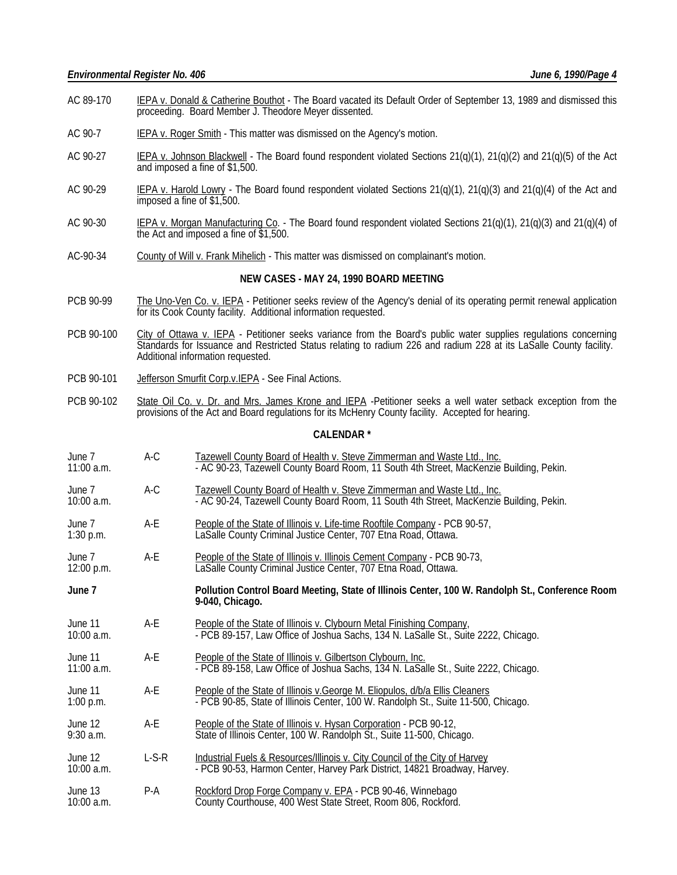- AC 89-170 IEPA v. Donald & Catherine Bouthot The Board vacated its Default Order of September 13, 1989 and dismissed this proceeding. Board Member J. Theodore Meyer dissented.
- AC 90-7 IEPA v. Roger Smith This matter was dismissed on the Agency's motion.
- AC 90-27 IEPA v. Johnson Blackwell The Board found respondent violated Sections  $21(q)(1)$ ,  $21(q)(2)$  and  $21(q)(5)$  of the Act and imposed a fine of \$1,500.
- AC 90-29 IEPA v. Harold Lowry The Board found respondent violated Sections 21(q)(1), 21(q)(3) and 21(q)(4) of the Act and imposed a fine of \$1,500.
- AC 90-30 IEPA v. Morgan Manufacturing Co. The Board found respondent violated Sections  $21(q)(1)$ ,  $21(q)(3)$  and  $21(q)(4)$  of the Act and imposed a fine of \$1,500.
- AC-90-34 County of Will v. Frank Mihelich This matter was dismissed on complainant's motion.

#### **NEW CASES - MAY 24, 1990 BOARD MEETING**

- PCB 90-99 The Uno-Ven Co. v. IEPA Petitioner seeks review of the Agency's denial of its operating permit renewal application for its Cook County facility. Additional information requested.
- PCB 90-100 City of Ottawa v. IEPA Petitioner seeks variance from the Board's public water supplies regulations concerning Standards for Issuance and Restricted Status relating to radium 226 and radium 228 at its LaSalle County facility. Additional information requested.
- PCB 90-101 Jefferson Smurfit Corp.v.IEPA See Final Actions.
- PCB 90-102 State Oil Co. v. Dr. and Mrs. James Krone and IEPA -Petitioner seeks a well water setback exception from the provisions of the Act and Board regulations for its McHenry County facility. Accepted for hearing.

#### **CALENDAR \***

- June 7 A-C Tazewell County Board of Health v. Steve Zimmerman and Waste Ltd., Inc.<br>11:00 a.m. **AC 90-23, Tazewell County Board Room, 11 South 4th Street, MacKenzie** - AC 90-23, Tazewell County Board Room, 11 South 4th Street, MacKenzie Building, Pekin.
- June 7 **A-C** Tazewell County Board of Health v. Steve Zimmerman and Waste Ltd., Inc. 10:00 a.m. - - AC 90-24, Tazewell County Board Room, 11 South 4th Street, MacKenzie Building, Pekin.
- June 7 A-E People of the State of Illinois v. Life-time Rooftile Company PCB 90-57, 1:30 p.m. LaSalle County Criminal Justice Center, 707 Etna Road, Ottawa.
- June 7 A-E People of the State of Illinois v. Illinois Cement Company PCB 90-73, 12:00 p.m. LaSalle County Criminal Justice Center, 707 Etna Road, Ottawa.
- **June 7 Pollution Control Board Meeting, State of Illinois Center, 100 W. Randolph St., Conference Room 9-040, Chicago.**
- June 11 A-E People of the State of Illinois v. Clybourn Metal Finishing Company,<br>10:00 a.m. **PCB 89-157, Law Office of Joshua Sachs**, 134 N. LaSalle St., Suit - PCB 89-157, Law Office of Joshua Sachs, 134 N. LaSalle St., Suite 2222, Chicago.
- June 11 **A-E** People of the State of Illinois v. Gilbertson Clybourn, Inc.<br>11:00 a.m. **A-E** PCB 89-158, Law Office of Joshua Sachs, 134 N. LaSa - PCB 89-158, Law Office of Joshua Sachs, 134 N. LaSalle St., Suite 2222, Chicago.
- June 11 A-E People of the State of Illinois v.George M. Eliopulos, d/b/a Ellis Cleaners 1:00 p.m. - PCB 90-85, State of Illinois Center, 100 W. Randolph St., Suite 11-500, Chicago.
- June 12  $A-E$  People of the State of Illinois v. Hysan Corporation PCB 90-12,<br>9:30 a.m. State of Illinois Center, 100 W. Randolph St., Suite 11-500, Chica State of Illinois Center, 100 W. Randolph St., Suite 11-500, Chicago.
- June 12 L-S-R Industrial Fuels & Resources/Illinois v. City Council of the City of Harvey<br>10:00 a.m. **Interpretational Connect Act of PCB 90-53.** Harmon Center, Harvey Park District, 14821 Broadway, Ha - PCB 90-53, Harmon Center, Harvey Park District, 14821 Broadway, Harvey.
- June 13 **P-A** Rockford Drop Forge Company v. EPA PCB 90-46, Winnebago<br>10:00 a.m. County Courthouse, 400 West State Street, Room 806, Rockford County Courthouse, 400 West State Street, Room 806, Rockford.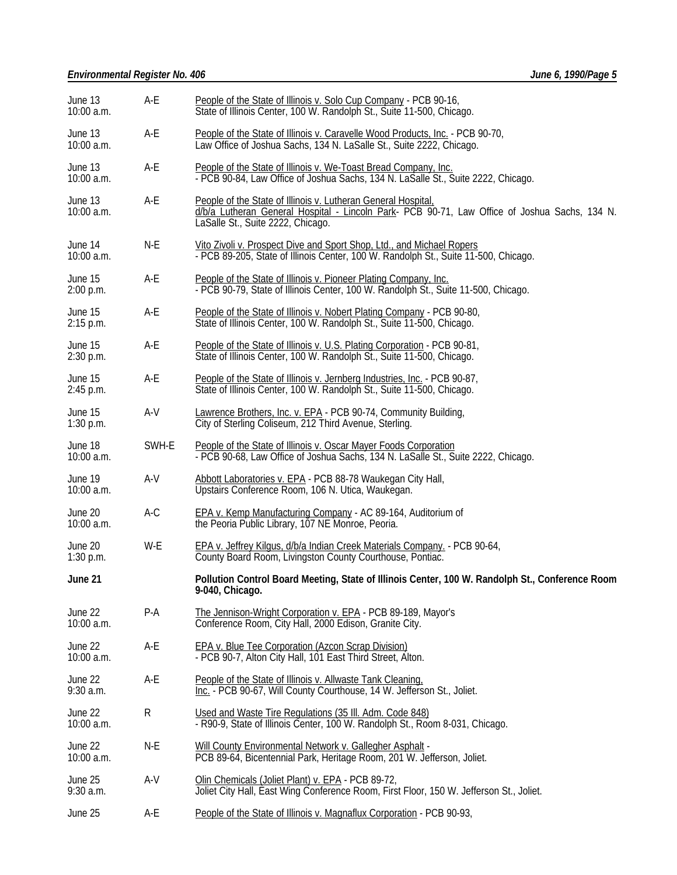# *Environmental Register No. 406 June 6, 1990/Page 5*

| June 13<br>$10:00$ a.m. | A-E   | People of the State of Illinois v. Solo Cup Company - PCB 90-16,<br>State of Illinois Center, 100 W. Randolph St., Suite 11-500, Chicago.                                                           |  |  |
|-------------------------|-------|-----------------------------------------------------------------------------------------------------------------------------------------------------------------------------------------------------|--|--|
| June 13<br>$10:00$ a.m. | A-E   | People of the State of Illinois v. Caravelle Wood Products, Inc. - PCB 90-70,<br>Law Office of Joshua Sachs, 134 N. LaSalle St., Suite 2222, Chicago.                                               |  |  |
| June 13<br>$10:00$ a.m. | A-E   | People of the State of Illinois v. We-Toast Bread Company, Inc.<br>- PCB 90-84, Law Office of Joshua Sachs, 134 N. LaSalle St., Suite 2222, Chicago.                                                |  |  |
| June 13<br>$10:00$ a.m. | A-E   | People of the State of Illinois v. Lutheran General Hospital,<br>d/b/a Lutheran General Hospital - Lincoln Park- PCB 90-71, Law Office of Joshua Sachs, 134 N.<br>LaSalle St., Suite 2222, Chicago. |  |  |
| June 14<br>10:00 a.m.   | N-E   | Vito Zivoli v. Prospect Dive and Sport Shop, Ltd., and Michael Ropers<br>- PCB 89-205, State of Illinois Center, 100 W. Randolph St., Suite 11-500, Chicago.                                        |  |  |
| June 15<br>2:00 p.m.    | A-E   | People of the State of Illinois v. Pioneer Plating Company, Inc.<br>- PCB 90-79, State of Illinois Center, 100 W. Randolph St., Suite 11-500, Chicago.                                              |  |  |
| June 15<br>2:15 p.m.    | A-E   | People of the State of Illinois v. Nobert Plating Company - PCB 90-80,<br>State of Illinois Center, 100 W. Randolph St., Suite 11-500, Chicago.                                                     |  |  |
| June 15<br>2:30 p.m.    | A-E   | People of the State of Illinois v. U.S. Plating Corporation - PCB 90-81,<br>State of Illinois Center, 100 W. Randolph St., Suite 11-500, Chicago.                                                   |  |  |
| June 15<br>2:45 p.m.    | A-E   | People of the State of Illinois v. Jernberg Industries, Inc. - PCB 90-87,<br>State of Illinois Center, 100 W. Randolph St., Suite 11-500, Chicago.                                                  |  |  |
| June 15<br>$1:30$ p.m.  | A-V   | Lawrence Brothers, Inc. v. EPA - PCB 90-74, Community Building,<br>City of Sterling Coliseum, 212 Third Avenue, Sterling.                                                                           |  |  |
| June 18<br>$10:00$ a.m. | SWH-E | People of the State of Illinois v. Oscar Mayer Foods Corporation<br>- PCB 90-68, Law Office of Joshua Sachs, 134 N. LaSalle St., Suite 2222, Chicago.                                               |  |  |
| June 19<br>$10:00$ a.m. | A-V   | Abbott Laboratories v. EPA - PCB 88-78 Waukegan City Hall,<br>Upstairs Conference Room, 106 N. Utica, Waukegan.                                                                                     |  |  |
| June 20<br>10:00 a.m.   | $A-C$ | EPA v. Kemp Manufacturing Company - AC 89-164, Auditorium of<br>the Peoria Public Library, 107 NE Monroe, Peoria.                                                                                   |  |  |
| June 20<br>$1:30$ p.m.  | W-E   | EPA v. Jeffrey Kilgus, d/b/a Indian Creek Materials Company. - PCB 90-64,<br>County Board Room, Livingston County Courthouse, Pontiac.                                                              |  |  |
| June 21                 |       | Pollution Control Board Meeting, State of Illinois Center, 100 W. Randolph St., Conference Room<br>9-040, Chicago.                                                                                  |  |  |
| June 22<br>10:00 a.m.   | $P-A$ | The Jennison-Wright Corporation v. EPA - PCB 89-189, Mayor's<br>Conference Room, City Hall, 2000 Edison, Granite City.                                                                              |  |  |
| June 22<br>10:00 a.m.   | A-E   | <b>EPA v. Blue Tee Corporation (Azcon Scrap Division)</b><br>- PCB 90-7, Alton City Hall, 101 East Third Street, Alton.                                                                             |  |  |
| June 22<br>$9:30$ a.m.  | A-E   | People of the State of Illinois v. Allwaste Tank Cleaning,<br>Inc. - PCB 90-67, Will County Courthouse, 14 W. Jefferson St., Joliet.                                                                |  |  |
| June 22<br>$10:00$ a.m. | R     | Used and Waste Tire Regulations (35 III. Adm. Code 848)<br>- R90-9, State of Illinois Center, 100 W. Randolph St., Room 8-031, Chicago.                                                             |  |  |
| June 22<br>10:00 a.m.   | N-E   | Will County Environmental Network v. Gallegher Asphalt -<br>PCB 89-64, Bicentennial Park, Heritage Room, 201 W. Jefferson, Joliet.                                                                  |  |  |
| June 25<br>$9:30$ a.m.  | A-V   | Olin Chemicals (Joliet Plant) v. EPA - PCB 89-72,<br>Joliet City Hall, East Wing Conference Room, First Floor, 150 W. Jefferson St., Joliet.                                                        |  |  |
| June 25                 | A-E   | People of the State of Illinois v. Magnaflux Corporation - PCB 90-93,                                                                                                                               |  |  |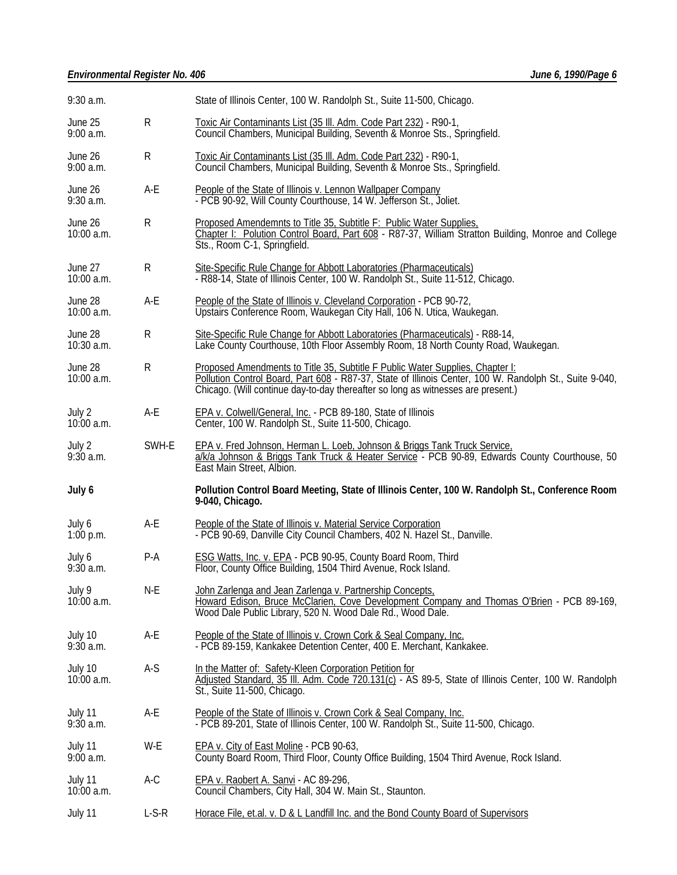# *Environmental Register No. 406 June 6, 1990/Page 6*

| $9:30$ a.m.             |              | State of Illinois Center, 100 W. Randolph St., Suite 11-500, Chicago.                                                                                                                                                                                                        |  |  |
|-------------------------|--------------|------------------------------------------------------------------------------------------------------------------------------------------------------------------------------------------------------------------------------------------------------------------------------|--|--|
| June 25<br>$9:00$ a.m.  | R            | Toxic Air Contaminants List (35 III. Adm. Code Part 232) - R90-1,<br>Council Chambers, Municipal Building, Seventh & Monroe Sts., Springfield.                                                                                                                               |  |  |
| June 26<br>$9:00$ a.m.  | $\mathsf{R}$ | Toxic Air Contaminants List (35 III. Adm. Code Part 232) - R90-1,<br>Council Chambers, Municipal Building, Seventh & Monroe Sts., Springfield.                                                                                                                               |  |  |
| June 26<br>$9:30$ a.m.  | A-E          | People of the State of Illinois v. Lennon Wallpaper Company<br>- PCB 90-92, Will County Courthouse, 14 W. Jefferson St., Joliet.                                                                                                                                             |  |  |
| June 26<br>10:00 a.m.   | R            | Proposed Amendemnts to Title 35, Subtitle F: Public Water Supplies,<br>Chapter I: Polution Control Board, Part 608 - R87-37, William Stratton Building, Monroe and College<br>Sts., Room C-1, Springfield.                                                                   |  |  |
| June 27<br>10:00 a.m.   | R            | Site-Specific Rule Change for Abbott Laboratories (Pharmaceuticals)<br>- R88-14, State of Illinois Center, 100 W. Randolph St., Suite 11-512, Chicago.                                                                                                                       |  |  |
| June 28<br>10:00 a.m.   | A-E          | People of the State of Illinois v. Cleveland Corporation - PCB 90-72,<br>Upstairs Conference Room, Waukegan City Hall, 106 N. Utica, Waukegan.                                                                                                                               |  |  |
| June 28<br>$10:30$ a.m. | R            | Site-Specific Rule Change for Abbott Laboratories (Pharmaceuticals) - R88-14,<br>Lake County Courthouse, 10th Floor Assembly Room, 18 North County Road, Waukegan.                                                                                                           |  |  |
| June 28<br>10:00 a.m.   | R            | Proposed Amendments to Title 35, Subtitle F Public Water Supplies, Chapter I:<br>Pollution Control Board, Part 608 - R87-37, State of Illinois Center, 100 W. Randolph St., Suite 9-040,<br>Chicago. (Will continue day-to-day thereafter so long as witnesses are present.) |  |  |
| July 2<br>$10:00$ a.m.  | A-E          | EPA v. Colwell/General, Inc. - PCB 89-180, State of Illinois<br>Center, 100 W. Randolph St., Suite 11-500, Chicago.                                                                                                                                                          |  |  |
| July 2<br>9:30 a.m.     | SWH-E        | EPA v. Fred Johnson, Herman L. Loeb, Johnson & Briggs Tank Truck Service,<br>a/k/a Johnson & Briggs Tank Truck & Heater Service - PCB 90-89, Edwards County Courthouse, 50<br>East Main Street, Albion.                                                                      |  |  |
|                         |              | Pollution Control Board Meeting, State of Illinois Center, 100 W. Randolph St., Conference Room                                                                                                                                                                              |  |  |
| July 6                  |              | 9-040, Chicago.                                                                                                                                                                                                                                                              |  |  |
| July 6<br>$1:00$ p.m.   | A-E          | People of the State of Illinois v. Material Service Corporation<br>- PCB 90-69, Danville City Council Chambers, 402 N. Hazel St., Danville.                                                                                                                                  |  |  |
| July 6<br>9:30a.m.      | $P-A$        | ESG Watts, Inc. v. EPA - PCB 90-95, County Board Room, Third<br>Floor, County Office Building, 1504 Third Avenue, Rock Island.                                                                                                                                               |  |  |
| July 9<br>$10:00$ a.m.  | $N-E$        | John Zarlenga and Jean Zarlenga v. Partnership Concepts,<br>Howard Edison, Bruce McClarien, Cove Development Company and Thomas O'Brien - PCB 89-169,<br>Wood Dale Public Library, 520 N. Wood Dale Rd., Wood Dale.                                                          |  |  |
| July 10<br>$9:30$ a.m.  | A-E          | People of the State of Illinois v. Crown Cork & Seal Company, Inc.<br>- PCB 89-159, Kankakee Detention Center, 400 E. Merchant, Kankakee.                                                                                                                                    |  |  |
| July 10<br>$10:00$ a.m. | $A-S$        | In the Matter of: Safety-Kleen Corporation Petition for<br>Adjusted Standard, 35 III. Adm. Code 720.131(c) - AS 89-5, State of Illinois Center, 100 W. Randolph<br>St., Suite 11-500, Chicago.                                                                               |  |  |
| July 11<br>$9:30$ a.m.  | A-E          | People of the State of Illinois v. Crown Cork & Seal Company, Inc.<br>- PCB 89-201, State of Illinois Center, 100 W. Randolph St., Suite 11-500, Chicago.                                                                                                                    |  |  |
| July 11<br>9:00a.m.     | W-E          | EPA v. City of East Moline - PCB 90-63,<br>County Board Room, Third Floor, County Office Building, 1504 Third Avenue, Rock Island.                                                                                                                                           |  |  |
| July 11<br>10:00 a.m.   | A-C          | EPA v. Raobert A. Sanvi - AC 89-296,<br>Council Chambers, City Hall, 304 W. Main St., Staunton.                                                                                                                                                                              |  |  |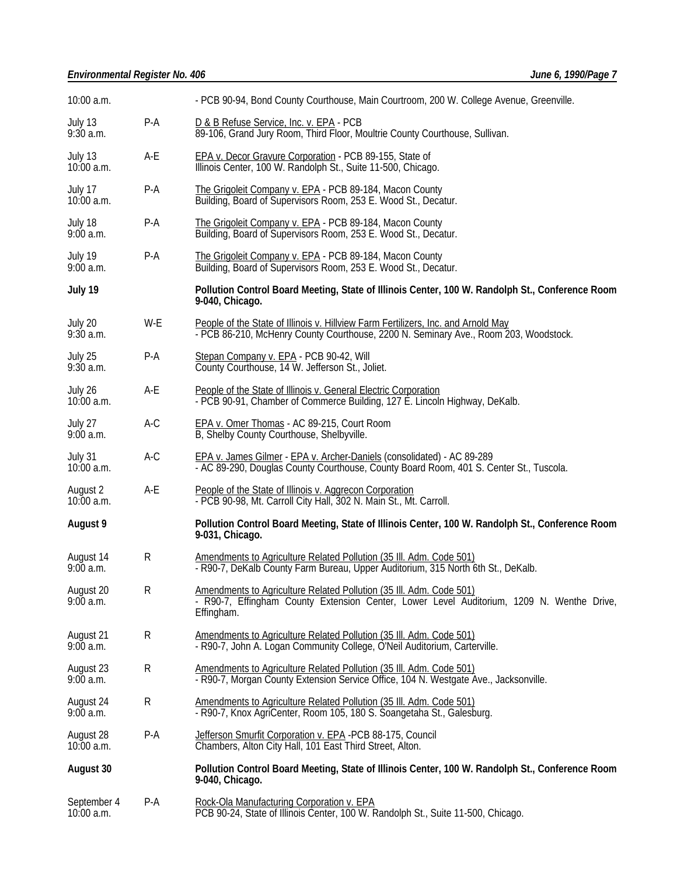# *Environmental Register No. 406 June 6, 1990/Page 7*

| 10:00 a.m.                      |           | - PCB 90-94, Bond County Courthouse, Main Courtroom, 200 W. College Avenue, Greenville.                                                                                        |  |  |  |
|---------------------------------|-----------|--------------------------------------------------------------------------------------------------------------------------------------------------------------------------------|--|--|--|
| July 13<br>$9:30$ a.m.          | P-A       | D & B Refuse Service, Inc. v. EPA - PCB<br>89-106, Grand Jury Room, Third Floor, Moultrie County Courthouse, Sullivan.                                                         |  |  |  |
| July 13<br>$10:00$ a.m.         | A-E       | <b>EPA v. Decor Gravure Corporation - PCB 89-155, State of</b><br>Illinois Center, 100 W. Randolph St., Suite 11-500, Chicago.                                                 |  |  |  |
| July 17<br>$10:00$ a.m.         | $P-A$     | The Grigoleit Company v. EPA - PCB 89-184, Macon County<br>Building, Board of Supervisors Room, 253 E. Wood St., Decatur.                                                      |  |  |  |
| July 18<br>9:00 a.m.            | P-A       | The Grigoleit Company v. EPA - PCB 89-184, Macon County<br>Building, Board of Supervisors Room, 253 E. Wood St., Decatur.                                                      |  |  |  |
| July 19<br>$9:00$ a.m.          | $P-A$     | The Grigoleit Company v. EPA - PCB 89-184, Macon County<br>Building, Board of Supervisors Room, 253 E. Wood St., Decatur.                                                      |  |  |  |
| July 19                         |           | Pollution Control Board Meeting, State of Illinois Center, 100 W. Randolph St., Conference Room<br>9-040, Chicago.                                                             |  |  |  |
| July 20<br>$9:30$ a.m.          | W-E       | People of the State of Illinois v. Hillview Farm Fertilizers, Inc. and Arnold May<br>- PCB 86-210, McHenry County Courthouse, 2200 N. Seminary Ave., Room 203, Woodstock.      |  |  |  |
| July 25<br>$9:30$ a.m.          | P-A       | Stepan Company v. EPA - PCB 90-42, Will<br>County Courthouse, 14 W. Jefferson St., Joliet.                                                                                     |  |  |  |
| July 26<br>$10:00$ a.m.         | A-E       | People of the State of Illinois v. General Electric Corporation<br>- PCB 90-91, Chamber of Commerce Building, 127 E. Lincoln Highway, DeKalb.                                  |  |  |  |
| July 27<br>9:00a.m.             | A-C       | EPA v. Omer Thomas - AC 89-215, Court Room<br>B, Shelby County Courthouse, Shelbyville.                                                                                        |  |  |  |
| July 31<br>$10:00$ a.m.         | A-C       | EPA v. James Gilmer - EPA v. Archer-Daniels (consolidated) - AC 89-289<br>- AC 89-290, Douglas County Courthouse, County Board Room, 401 S. Center St., Tuscola.               |  |  |  |
| A-E<br>August 2<br>$10:00$ a.m. |           | People of the State of Illinois v. Aggrecon Corporation<br>- PCB 90-98, Mt. Carroll City Hall, 302 N. Main St., Mt. Carroll.                                                   |  |  |  |
| August 9                        |           | Pollution Control Board Meeting, State of Illinois Center, 100 W. Randolph St., Conference Room<br>9-031, Chicago.                                                             |  |  |  |
| August 14<br>9:00a.m.           | R         | Amendments to Agriculture Related Pollution (35 III. Adm. Code 501)<br>- R90-7, DeKalb County Farm Bureau, Upper Auditorium, 315 North 6th St., DeKalb.                        |  |  |  |
| August 20<br>$9:00$ a.m.        | R         | Amendments to Agriculture Related Pollution (35 Ill. Adm. Code 501)<br>- R90-7, Effingham County Extension Center, Lower Level Auditorium, 1209 N. Wenthe Drive,<br>Effingham. |  |  |  |
| August 21<br>9:00a.m.           | ${\sf R}$ | Amendments to Agriculture Related Pollution (35 III. Adm. Code 501)<br>- R90-7, John A. Logan Community College, O'Neil Auditorium, Carterville.                               |  |  |  |
| August 23<br>$9:00$ a.m.        | R         | Amendments to Agriculture Related Pollution (35 III. Adm. Code 501)<br>- R90-7, Morgan County Extension Service Office, 104 N. Westgate Ave., Jacksonville.                    |  |  |  |
| August 24<br>9:00a.m.           | R         | Amendments to Agriculture Related Pollution (35 III. Adm. Code 501)<br>- R90-7, Knox AgriCenter, Room 105, 180 S. Soangetaha St., Galesburg.                                   |  |  |  |
| August 28<br>$10:00$ a.m.       | $P-A$     | Jefferson Smurfit Corporation v. EPA -PCB 88-175, Council<br>Chambers, Alton City Hall, 101 East Third Street, Alton.                                                          |  |  |  |
| August 30                       |           | Pollution Control Board Meeting, State of Illinois Center, 100 W. Randolph St., Conference Room<br>9-040, Chicago.                                                             |  |  |  |
| September 4<br>10:00 a.m.       | $P-A$     | Rock-Ola Manufacturing Corporation v. EPA<br>PCB 90-24, State of Illinois Center, 100 W. Randolph St., Suite 11-500, Chicago.                                                  |  |  |  |